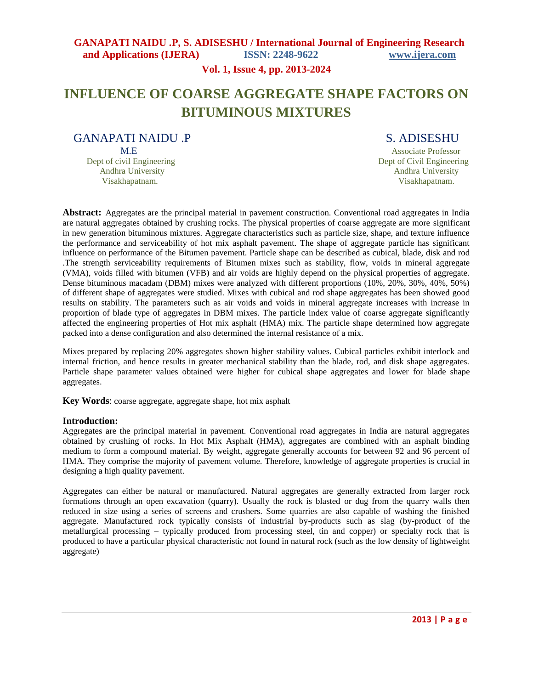### **Vol. 1, Issue 4, pp. 2013-2024**

# **INFLUENCE OF COARSE AGGREGATE SHAPE FACTORS ON BITUMINOUS MIXTURES**

GANAPATI NAIDU .P S. ADISESHU Dept of civil Engineering Dept of Civil Engineering Andhra University **Andhra University** Andhra University **Andhra University** 

M.E Associate Professor Visakhapatnam. Visakhapatnam.

**Abstract:** Aggregates are the principal material in pavement construction. Conventional road aggregates in India are natural aggregates obtained by crushing rocks. The physical properties of coarse aggregate are more significant in new generation bituminous mixtures. Aggregate characteristics such as particle size, shape, and texture influence the performance and serviceability of hot mix asphalt pavement. The shape of aggregate particle has significant influence on performance of the Bitumen pavement. Particle shape can be described as cubical, blade, disk and rod .The strength serviceability requirements of Bitumen mixes such as stability, flow, voids in mineral aggregate (VMA), voids filled with bitumen (VFB) and air voids are highly depend on the physical properties of aggregate. Dense bituminous macadam (DBM) mixes were analyzed with different proportions (10%, 20%, 30%, 40%, 50%) of different shape of aggregates were studied. Mixes with cubical and rod shape aggregates has been showed good results on stability. The parameters such as air voids and voids in mineral aggregate increases with increase in proportion of blade type of aggregates in DBM mixes. The particle index value of coarse aggregate significantly affected the engineering properties of Hot mix asphalt (HMA) mix. The particle shape determined how aggregate packed into a dense configuration and also determined the internal resistance of a mix.

Mixes prepared by replacing 20% aggregates shown higher stability values. Cubical particles exhibit interlock and internal friction, and hence results in greater mechanical stability than the blade, rod, and disk shape aggregates. Particle shape parameter values obtained were higher for cubical shape aggregates and lower for blade shape aggregates.

**Key Words**: coarse aggregate, aggregate shape, hot mix asphalt

### **Introduction:**

Aggregates are the principal material in pavement. Conventional road aggregates in India are natural aggregates obtained by crushing of rocks. In Hot Mix Asphalt (HMA), aggregates are combined with an asphalt binding medium to form a compound material. By weight, aggregate generally accounts for between 92 and 96 percent of HMA. They comprise the majority of pavement volume. Therefore, knowledge of aggregate properties is crucial in designing a high quality pavement.

Aggregates can either be natural or manufactured. Natural aggregates are generally extracted from larger rock formations through an open excavation (quarry). Usually the rock is blasted or dug from the quarry walls then reduced in size using a series of screens and crushers. Some quarries are also capable of washing the finished aggregate. Manufactured rock typically consists of industrial by-products such as slag (by-product of the metallurgical processing – typically produced from processing steel, tin and copper) or specialty rock that is produced to have a particular physical characteristic not found in natural rock (such as the low density of lightweight aggregate)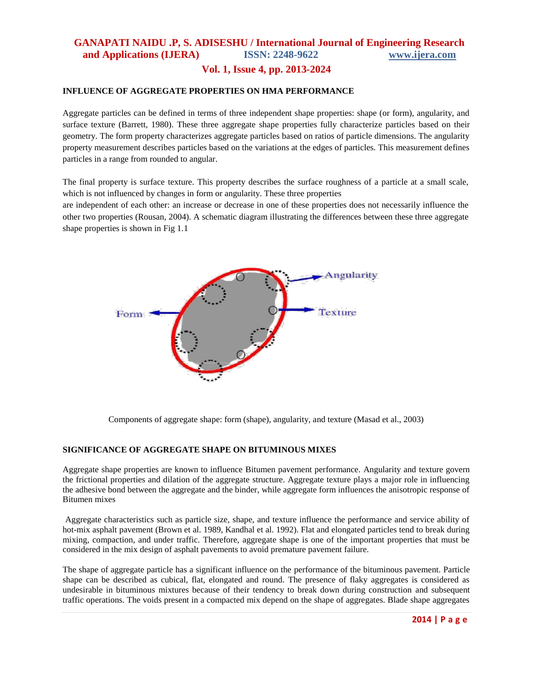### **Vol. 1, Issue 4, pp. 2013-2024**

### **INFLUENCE OF AGGREGATE PROPERTIES ON HMA PERFORMANCE**

Aggregate particles can be defined in terms of three independent shape properties: shape (or form), angularity, and surface texture (Barrett, 1980). These three aggregate shape properties fully characterize particles based on their geometry. The form property characterizes aggregate particles based on ratios of particle dimensions. The angularity property measurement describes particles based on the variations at the edges of particles. This measurement defines particles in a range from rounded to angular.

The final property is surface texture. This property describes the surface roughness of a particle at a small scale, which is not influenced by changes in form or angularity. These three properties

are independent of each other: an increase or decrease in one of these properties does not necessarily influence the other two properties (Rousan, 2004). A schematic diagram illustrating the differences between these three aggregate shape properties is shown in Fig 1.1



Components of aggregate shape: form (shape), angularity, and texture (Masad et al., 2003)

### **SIGNIFICANCE OF AGGREGATE SHAPE ON BITUMINOUS MIXES**

Aggregate shape properties are known to influence Bitumen pavement performance. Angularity and texture govern the frictional properties and dilation of the aggregate structure. Aggregate texture plays a major role in influencing the adhesive bond between the aggregate and the binder, while aggregate form influences the anisotropic response of Bitumen mixes

Aggregate characteristics such as particle size, shape, and texture influence the performance and service ability of hot-mix asphalt pavement (Brown et al. 1989, Kandhal et al. 1992). Flat and elongated particles tend to break during mixing, compaction, and under traffic. Therefore, aggregate shape is one of the important properties that must be considered in the mix design of asphalt pavements to avoid premature pavement failure.

The shape of aggregate particle has a significant influence on the performance of the bituminous pavement. Particle shape can be described as cubical, flat, elongated and round. The presence of flaky aggregates is considered as undesirable in bituminous mixtures because of their tendency to break down during construction and subsequent traffic operations. The voids present in a compacted mix depend on the shape of aggregates. Blade shape aggregates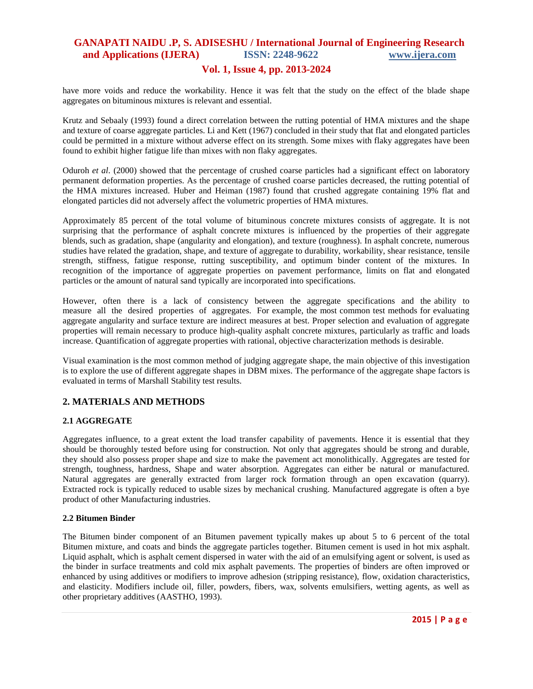### **Vol. 1, Issue 4, pp. 2013-2024**

have more voids and reduce the workability. Hence it was felt that the study on the effect of the blade shape aggregates on bituminous mixtures is relevant and essential.

Krutz and Sebaaly (1993) found a direct correlation between the rutting potential of HMA mixtures and the shape and texture of coarse aggregate particles. Li and Kett (1967) concluded in their study that flat and elongated particles could be permitted in a mixture without adverse effect on its strength. Some mixes with flaky aggregates have been found to exhibit higher fatigue life than mixes with non flaky aggregates.

Oduroh *et al*. (2000) showed that the percentage of crushed coarse particles had a significant effect on laboratory permanent deformation properties. As the percentage of crushed coarse particles decreased, the rutting potential of the HMA mixtures increased. Huber and Heiman (1987) found that crushed aggregate containing 19% flat and elongated particles did not adversely affect the volumetric properties of HMA mixtures.

Approximately 85 percent of the total volume of bituminous concrete mixtures consists of aggregate. It is not surprising that the performance of asphalt concrete mixtures is influenced by the properties of their aggregate blends, such as gradation, shape (angularity and elongation), and texture (roughness). In asphalt concrete, numerous studies have related the gradation, shape, and texture of aggregate to durability, workability, shear resistance, tensile strength, stiffness, fatigue response, rutting susceptibility, and optimum binder content of the mixtures. In recognition of the importance of aggregate properties on pavement performance, limits on flat and elongated particles or the amount of natural sand typically are incorporated into specifications.

However, often there is a lack of consistency between the aggregate specifications and the ability to measure all the desired properties of aggregates. For example, the most common test methods for evaluating aggregate angularity and surface texture are indirect measures at best. Proper selection and evaluation of aggregate properties will remain necessary to produce high-quality asphalt concrete mixtures, particularly as traffic and loads increase. Quantification of aggregate properties with rational, objective characterization methods is desirable.

Visual examination is the most common method of judging aggregate shape, the main objective of this investigation is to explore the use of different aggregate shapes in DBM mixes. The performance of the aggregate shape factors is evaluated in terms of Marshall Stability test results.

### **2. MATERIALS AND METHODS**

### **2.1 AGGREGATE**

Aggregates influence, to a great extent the load transfer capability of pavements. Hence it is essential that they should be thoroughly tested before using for construction. Not only that aggregates should be strong and durable, they should also possess proper shape and size to make the pavement act monolithically. Aggregates are tested for strength, toughness, hardness, Shape and water absorption. Aggregates can either be natural or manufactured. Natural aggregates are generally extracted from larger rock formation through an open excavation (quarry). Extracted rock is typically reduced to usable sizes by mechanical crushing. Manufactured aggregate is often a bye product of other Manufacturing industries.

#### **2.2 Bitumen Binder**

The Bitumen binder component of an Bitumen pavement typically makes up about 5 to 6 percent of the total Bitumen mixture, and coats and binds the aggregate particles together. Bitumen cement is used in hot mix asphalt. Liquid asphalt, which is asphalt cement dispersed in water with the aid of an emulsifying agent or solvent, is used as the binder in surface treatments and cold mix asphalt pavements. The properties of binders are often improved or enhanced by using additives or modifiers to improve adhesion (stripping resistance), flow, oxidation characteristics, and elasticity. Modifiers include oil, filler, powders, fibers, wax, solvents emulsifiers, wetting agents, as well as other proprietary additives (AASTHO, 1993).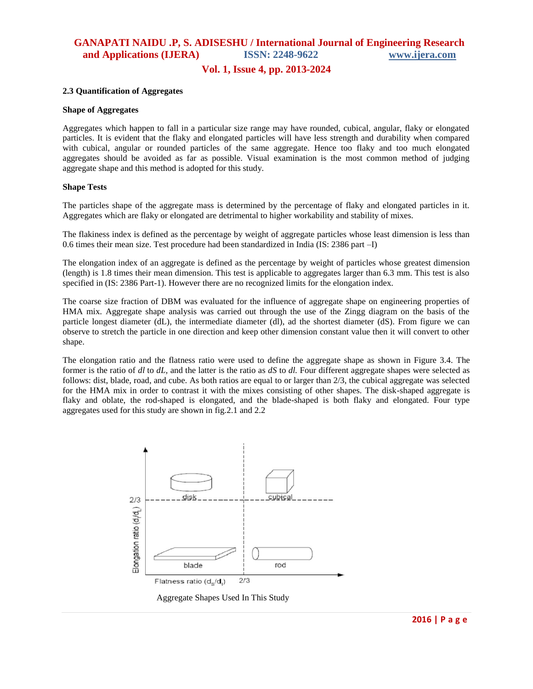### **Vol. 1, Issue 4, pp. 2013-2024**

#### **2.3 Quantification of Aggregates**

#### **Shape of Aggregates**

Aggregates which happen to fall in a particular size range may have rounded, cubical, angular, flaky or elongated particles. It is evident that the flaky and elongated particles will have less strength and durability when compared with cubical, angular or rounded particles of the same aggregate. Hence too flaky and too much elongated aggregates should be avoided as far as possible. Visual examination is the most common method of judging aggregate shape and this method is adopted for this study.

#### **Shape Tests**

The particles shape of the aggregate mass is determined by the percentage of flaky and elongated particles in it. Aggregates which are flaky or elongated are detrimental to higher workability and stability of mixes.

The flakiness index is defined as the percentage by weight of aggregate particles whose least dimension is less than 0.6 times their mean size. Test procedure had been standardized in India (IS: 2386 part –I)

The elongation index of an aggregate is defined as the percentage by weight of particles whose greatest dimension (length) is 1.8 times their mean dimension. This test is applicable to aggregates larger than 6.3 mm. This test is also specified in (IS: 2386 Part-1). However there are no recognized limits for the elongation index.

The coarse size fraction of DBM was evaluated for the influence of aggregate shape on engineering properties of HMA mix. Aggregate shape analysis was carried out through the use of the Zingg diagram on the basis of the particle longest diameter (dL), the intermediate diameter (dl), ad the shortest diameter (dS). From figure we can observe to stretch the particle in one direction and keep other dimension constant value then it will convert to other shape.

The elongation ratio and the flatness ratio were used to define the aggregate shape as shown in Figure 3.4. The former is the ratio of *dl* to *dL,* and the latter is the ratio as *dS* to *dl.* Four different aggregate shapes were selected as follows: dist, blade, road, and cube. As both ratios are equal to or larger than 2/3, the cubical aggregate was selected for the HMA mix in order to contrast it with the mixes consisting of other shapes. The disk-shaped aggregate is flaky and oblate, the rod-shaped is elongated, and the blade-shaped is both flaky and elongated. Four type aggregates used for this study are shown in fig.2.1 and 2.2

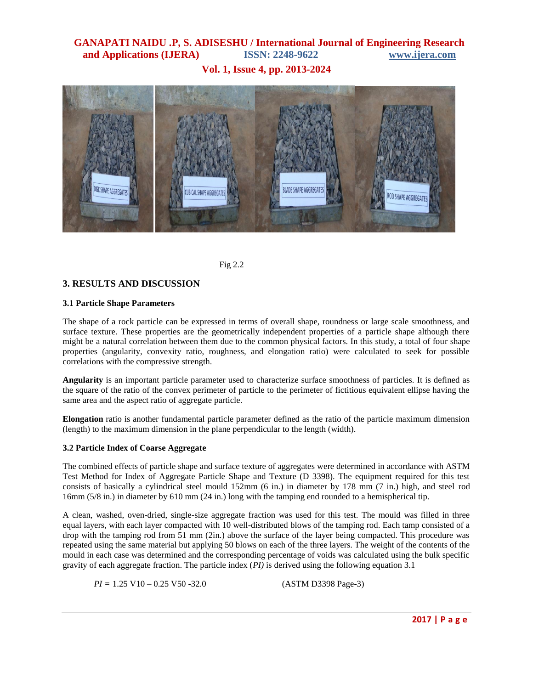**Vol. 1, Issue 4, pp. 2013-2024**



Fig 2.2

### **3. RESULTS AND DISCUSSION**

### **3.1 Particle Shape Parameters**

The shape of a rock particle can be expressed in terms of overall shape, roundness or large scale smoothness, and surface texture. These properties are the geometrically independent properties of a particle shape although there might be a natural correlation between them due to the common physical factors. In this study, a total of four shape properties (angularity, convexity ratio, roughness, and elongation ratio) were calculated to seek for possible correlations with the compressive strength.

**Angularity** is an important particle parameter used to characterize surface smoothness of particles. It is defined as the square of the ratio of the convex perimeter of particle to the perimeter of fictitious equivalent ellipse having the same area and the aspect ratio of aggregate particle.

**Elongation** ratio is another fundamental particle parameter defined as the ratio of the particle maximum dimension (length) to the maximum dimension in the plane perpendicular to the length (width).

### **3.2 Particle Index of Coarse Aggregate**

The combined effects of particle shape and surface texture of aggregates were determined in accordance with ASTM Test Method for Index of Aggregate Particle Shape and Texture (D 3398). The equipment required for this test consists of basically a cylindrical steel mould 152mm (6 in.) in diameter by 178 mm (7 in.) high, and steel rod 16mm (5/8 in.) in diameter by 610 mm (24 in.) long with the tamping end rounded to a hemispherical tip.

A clean, washed, oven-dried, single-size aggregate fraction was used for this test. The mould was filled in three equal layers, with each layer compacted with 10 well-distributed blows of the tamping rod. Each tamp consisted of a drop with the tamping rod from 51 mm (2in.) above the surface of the layer being compacted. This procedure was repeated using the same material but applying 50 blows on each of the three layers. The weight of the contents of the mould in each case was determined and the corresponding percentage of voids was calculated using the bulk specific gravity of each aggregate fraction. The particle index (*PI)* is derived using the following equation 3.1

*PI* = 1.25 V10 – 0.25 V50 -32.0 (ASTM D3398 Page-3)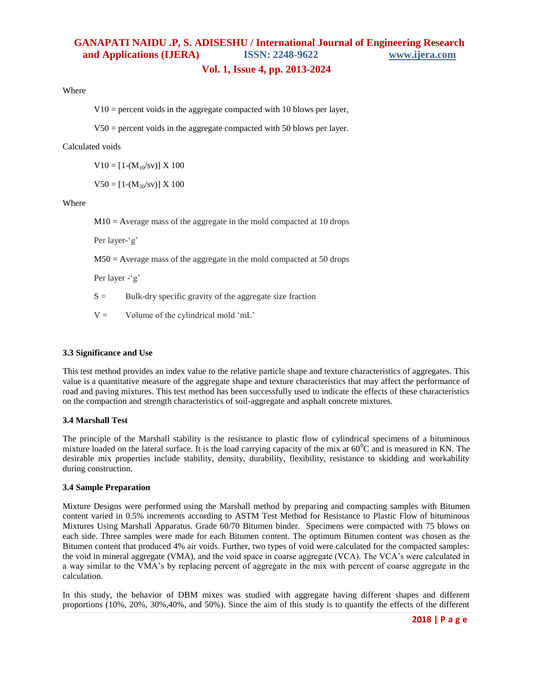### **Vol. 1, Issue 4, pp. 2013-2024**

Where

 $V10$  = percent voids in the aggregate compacted with 10 blows per layer,

V50 = percent voids in the aggregate compacted with 50 blows per layer.

#### Calculated voids

 $V10 = [1-(M_{10}/sv)] \times 100$ 

 $V50 = [1-(M_{50}/sv)] \times 100$ 

Where

 $M10 =$  Average mass of the aggregate in the mold compacted at 10 drops

Per layer-'g"

M50 = Average mass of the aggregate in the mold compacted at 50 drops

Per layer - 'g"

 $S =$  Bulk-dry specific gravity of the aggregate size fraction

 $V =$  Volume of the cylindrical mold 'mL'

#### **3.3 Significance and Use**

This test method provides an index value to the relative particle shape and texture characteristics of aggregates. This value is a quantitative measure of the aggregate shape and texture characteristics that may affect the performance of road and paving mixtures. This test method has been successfully used to indicate the effects of these characteristics on the compaction and strength characteristics of soil-aggregate and asphalt concrete mixtures.

### **3.4 Marshall Test**

The principle of the Marshall stability is the resistance to plastic flow of cylindrical specimens of a bituminous mixture loaded on the lateral surface. It is the load carrying capacity of the mix at  $60^{\circ}$ C and is measured in KN. The desirable mix properties include stability, density, durability, flexibility, resistance to skidding and workability during construction.

#### **3.4 Sample Preparation**

Mixture Designs were performed using the Marshall method by preparing and compacting samples with Bitumen content varied in 0.5% increments according to ASTM Test Method for Resistance to Plastic Flow of bituminous Mixtures Using Marshall Apparatus. Grade 60/70 Bitumen binder. Specimens were compacted with 75 blows on each side. Three samples were made for each Bitumen content. The optimum Bitumen content was chosen as the Bitumen content that produced 4% air voids. Further, two types of void were calculated for the compacted samples: the void in mineral aggregate (VMA), and the void space in coarse aggregate (VCA). The VCA"s were calculated in a way similar to the VMA"s by replacing percent of aggregate in the mix with percent of coarse aggregate in the calculation.

In this study, the behavior of DBM mixes was studied with aggregate having different shapes and different proportions (10%, 20%, 30%,40%, and 50%). Since the aim of this study is to quantify the effects of the different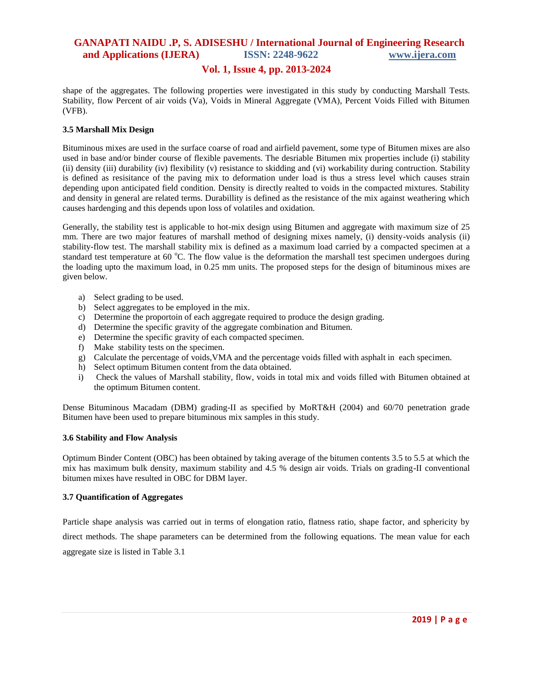### **Vol. 1, Issue 4, pp. 2013-2024**

shape of the aggregates. The following properties were investigated in this study by conducting Marshall Tests. Stability, flow Percent of air voids (Va), Voids in Mineral Aggregate (VMA), Percent Voids Filled with Bitumen (VFB).

### **3.5 Marshall Mix Design**

Bituminous mixes are used in the surface coarse of road and airfield pavement, some type of Bitumen mixes are also used in base and/or binder course of flexible pavements. The desriable Bitumen mix properties include (i) stability (ii) density (iii) durability (iv) flexibility (v) resistance to skidding and (vi) workability during contruction. Stability is defined as resisitance of the paving mix to deformation under load is thus a stress level which causes strain depending upon anticipated field condition. Density is directly realted to voids in the compacted mixtures. Stability and density in general are related terms. Durabillity is defined as the resistance of the mix against weathering which causes hardenging and this depends upon loss of volatiles and oxidation.

Generally, the stability test is applicable to hot-mix design using Bitumen and aggregate with maximum size of 25 mm. There are two major features of marshall method of designing mixes namely, (i) density-voids analysis (ii) stability-flow test. The marshall stability mix is defined as a maximum load carried by a compacted specimen at a standard test temperature at 60  $^{\circ}$ C. The flow value is the deformation the marshall test specimen undergoes during the loading upto the maximum load, in 0.25 mm units. The proposed steps for the design of bituminous mixes are given below.

- a) Select grading to be used.
- b) Select aggregates to be employed in the mix.
- c) Determine the proportoin of each aggregate required to produce the design grading.
- d) Determine the specific gravity of the aggregate combination and Bitumen.
- e) Determine the specific gravity of each compacted specimen.
- f) Make stability tests on the specimen.
- g) Calculate the percentage of voids,VMA and the percentage voids filled with asphalt in each specimen.
- h) Select optimum Bitumen content from the data obtained.
- i) Check the values of Marshall stability, flow, voids in total mix and voids filled with Bitumen obtained at the optimum Bitumen content.

Dense Bituminous Macadam (DBM) grading-II as specified by MoRT&H (2004) and 60/70 penetration grade Bitumen have been used to prepare bituminous mix samples in this study.

#### **3.6 Stability and Flow Analysis**

Optimum Binder Content (OBC) has been obtained by taking average of the bitumen contents 3.5 to 5.5 at which the mix has maximum bulk density, maximum stability and 4.5 % design air voids. Trials on grading-II conventional bitumen mixes have resulted in OBC for DBM layer.

#### **3.7 Quantification of Aggregates**

Particle shape analysis was carried out in terms of elongation ratio, flatness ratio, shape factor, and sphericity by direct methods. The shape parameters can be determined from the following equations. The mean value for each aggregate size is listed in Table 3.1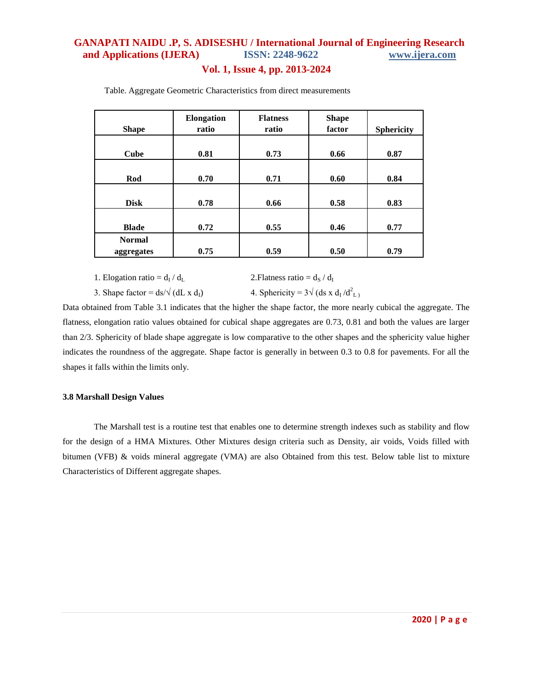### **Vol. 1, Issue 4, pp. 2013-2024**

| <b>Shape</b>                | Elongation<br>ratio | <b>Flatness</b><br>ratio | <b>Shape</b><br>factor | <b>Sphericity</b> |
|-----------------------------|---------------------|--------------------------|------------------------|-------------------|
| Cube                        | 0.81                | 0.73                     | 0.66                   | 0.87              |
| Rod                         | 0.70                | 0.71                     | 0.60                   | 0.84              |
| <b>Disk</b>                 | 0.78                | 0.66                     | 0.58                   | 0.83              |
| <b>Blade</b>                | 0.72                | 0.55                     | 0.46                   | 0.77              |
| <b>Normal</b><br>aggregates | 0.75                | 0.59                     | 0.50                   | 0.79              |

Table. Aggregate Geometric Characteristics from direct measurements

1. Elogation ratio =  $d_I / d_L$ 2. Flatness ratio =  $d_S / d_I$ 

3. Shape factor =  $ds/\sqrt{(dL \times d_I)}$ .

 $d^2_{\ L}$ 

Data obtained from Table 3.1 indicates that the higher the shape factor, the more nearly cubical the aggregate. The flatness, elongation ratio values obtained for cubical shape aggregates are 0.73, 0.81 and both the values are larger than 2/3. Sphericity of blade shape aggregate is low comparative to the other shapes and the sphericity value higher indicates the roundness of the aggregate. Shape factor is generally in between 0.3 to 0.8 for pavements. For all the shapes it falls within the limits only.

#### **3.8 Marshall Design Values**

The Marshall test is a routine test that enables one to determine strength indexes such as stability and flow for the design of a HMA Mixtures. Other Mixtures design criteria such as Density, air voids, Voids filled with bitumen (VFB) & voids mineral aggregate (VMA) are also Obtained from this test. Below table list to mixture Characteristics of Different aggregate shapes.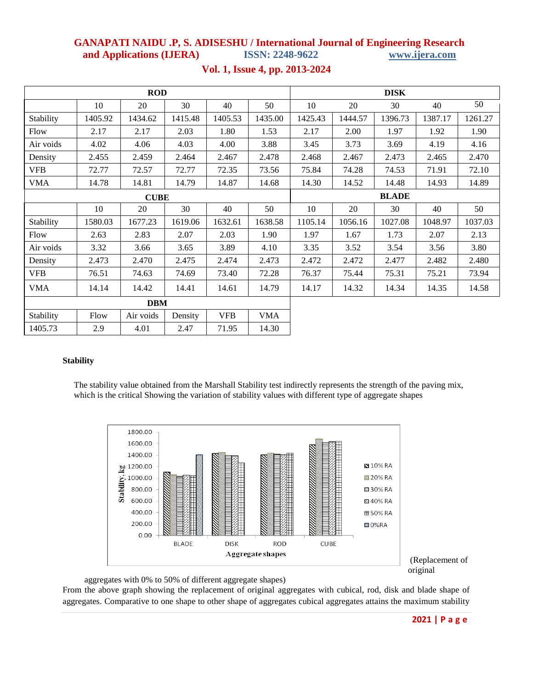| <b>ROD</b>  |         |           |         |            |              | <b>DISK</b> |         |         |         |         |
|-------------|---------|-----------|---------|------------|--------------|-------------|---------|---------|---------|---------|
|             | 10      | 20        | 30      | 40         | 50           | 10          | 20      | 30      | 40      | 50      |
| Stability   | 1405.92 | 1434.62   | 1415.48 | 1405.53    | 1435.00      | 1425.43     | 1444.57 | 1396.73 | 1387.17 | 1261.27 |
| Flow        | 2.17    | 2.17      | 2.03    | 1.80       | 1.53         | 2.17        | 2.00    | 1.97    | 1.92    | 1.90    |
| Air voids   | 4.02    | 4.06      | 4.03    | 4.00       | 3.88         | 3.45        | 3.73    | 3.69    | 4.19    | 4.16    |
| Density     | 2.455   | 2.459     | 2.464   | 2.467      | 2.478        | 2.468       | 2.467   | 2.473   | 2.465   | 2.470   |
| <b>VFB</b>  | 72.77   | 72.57     | 72.77   | 72.35      | 73.56        | 75.84       | 74.28   | 74.53   | 71.91   | 72.10   |
| <b>VMA</b>  | 14.78   | 14.81     | 14.79   | 14.87      | 14.68        | 14.30       | 14.52   | 14.48   | 14.93   | 14.89   |
| <b>CUBE</b> |         |           |         |            | <b>BLADE</b> |             |         |         |         |         |
|             | 10      | 20        | 30      | 40         | 50           | 10          | 20      | 30      | 40      | 50      |
| Stability   | 1580.03 | 1677.23   | 1619.06 | 1632.61    | 1638.58      | 1105.14     | 1056.16 | 1027.08 | 1048.97 | 1037.03 |
| Flow        | 2.63    | 2.83      | 2.07    | 2.03       | 1.90         | 1.97        | 1.67    | 1.73    | 2.07    | 2.13    |
| Air voids   | 3.32    | 3.66      | 3.65    | 3.89       | 4.10         | 3.35        | 3.52    | 3.54    | 3.56    | 3.80    |
| Density     | 2.473   | 2.470     | 2.475   | 2.474      | 2.473        | 2.472       | 2.472   | 2.477   | 2.482   | 2.480   |
| <b>VFB</b>  | 76.51   | 74.63     | 74.69   | 73.40      | 72.28        | 76.37       | 75.44   | 75.31   | 75.21   | 73.94   |
| <b>VMA</b>  | 14.14   | 14.42     | 14.41   | 14.61      | 14.79        | 14.17       | 14.32   | 14.34   | 14.35   | 14.58   |
| <b>DBM</b>  |         |           |         |            |              |             |         |         |         |         |
| Stability   | Flow    | Air voids | Density | <b>VFB</b> | <b>VMA</b>   |             |         |         |         |         |

## **Vol. 1, Issue 4, pp. 2013-2024**

### **Stability**

1405.73 2.9 4.01 2.47 71.95 14.30

The stability value obtained from the Marshall Stability test indirectly represents the strength of the paving mix, which is the critical Showing the variation of stability values with different type of aggregate shapes





aggregates with 0% to 50% of different aggregate shapes)

From the above graph showing the replacement of original aggregates with cubical, rod, disk and blade shape of aggregates. Comparative to one shape to other shape of aggregates cubical aggregates attains the maximum stability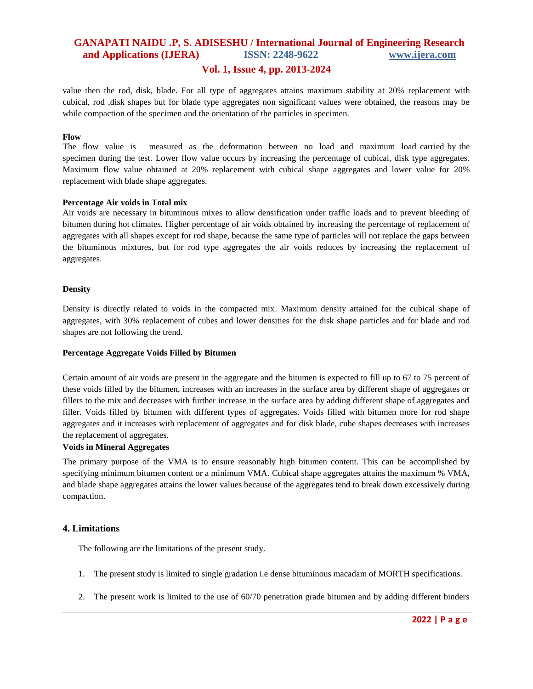### **Vol. 1, Issue 4, pp. 2013-2024**

value then the rod, disk, blade. For all type of aggregates attains maximum stability at 20% replacement with cubical, rod ,disk shapes but for blade type aggregates non significant values were obtained, the reasons may be while compaction of the specimen and the orientation of the particles in specimen.

#### **Flow**

The flow value is measured as the deformation between no load and maximum load carried by the specimen during the test. Lower flow value occurs by increasing the percentage of cubical, disk type aggregates. Maximum flow value obtained at 20% replacement with cubical shape aggregates and lower value for 20% replacement with blade shape aggregates.

#### **Percentage Air voids in Total mix**

Air voids are necessary in bituminous mixes to allow densification under traffic loads and to prevent bleeding of bitumen during hot climates. Higher percentage of air voids obtained by increasing the percentage of replacement of aggregates with all shapes except for rod shape, because the same type of particles will not replace the gaps between the bituminous mixtures, but for rod type aggregates the air voids reduces by increasing the replacement of aggregates.

#### **Density**

Density is directly related to voids in the compacted mix. Maximum density attained for the cubical shape of aggregates, with 30% replacement of cubes and lower densities for the disk shape particles and for blade and rod shapes are not following the trend.

#### **Percentage Aggregate Voids Filled by Bitumen**

Certain amount of air voids are present in the aggregate and the bitumen is expected to fill up to 67 to 75 percent of these voids filled by the bitumen, increases with an increases in the surface area by different shape of aggregates or fillers to the mix and decreases with further increase in the surface area by adding different shape of aggregates and filler. Voids filled by bitumen with different types of aggregates. Voids filled with bitumen more for rod shape aggregates and it increases with replacement of aggregates and for disk blade, cube shapes decreases with increases the replacement of aggregates.

#### **Voids in Mineral Aggregates**

The primary purpose of the VMA is to ensure reasonably high bitumen content. This can be accomplished by specifying minimum bitumen content or a minimum VMA. Cubical shape aggregates attains the maximum % VMA, and blade shape aggregates attains the lower values because of the aggregates tend to break down excessively during compaction.

### **4. Limitations**

The following are the limitations of the present study.

- 1. The present study is limited to single gradation i.e dense bituminous macadam of MORTH specifications.
- 2. The present work is limited to the use of 60/70 penetration grade bitumen and by adding different binders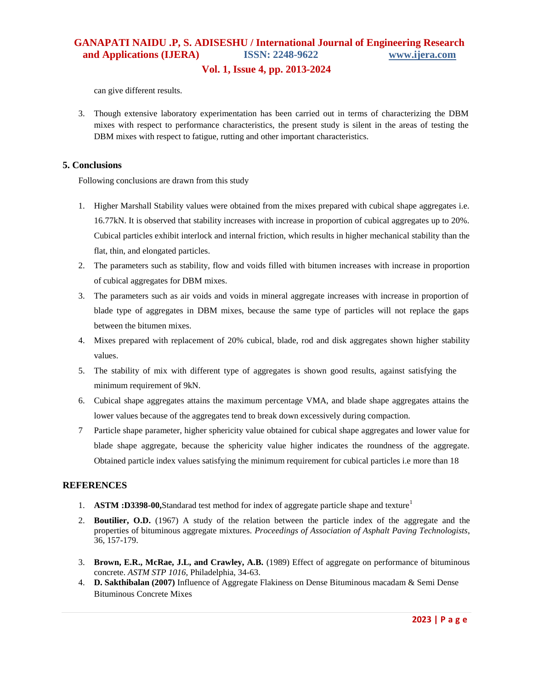### **Vol. 1, Issue 4, pp. 2013-2024**

can give different results.

3. Though extensive laboratory experimentation has been carried out in terms of characterizing the DBM mixes with respect to performance characteristics, the present study is silent in the areas of testing the DBM mixes with respect to fatigue, rutting and other important characteristics.

### **5. Conclusions**

Following conclusions are drawn from this study

- 1. Higher Marshall Stability values were obtained from the mixes prepared with cubical shape aggregates i.e. 16.77kN. It is observed that stability increases with increase in proportion of cubical aggregates up to 20%. Cubical particles exhibit interlock and internal friction, which results in higher mechanical stability than the flat, thin, and elongated particles.
- 2. The parameters such as stability, flow and voids filled with bitumen increases with increase in proportion of cubical aggregates for DBM mixes.
- 3. The parameters such as air voids and voids in mineral aggregate increases with increase in proportion of blade type of aggregates in DBM mixes, because the same type of particles will not replace the gaps between the bitumen mixes.
- 4. Mixes prepared with replacement of 20% cubical, blade, rod and disk aggregates shown higher stability values.
- 5. The stability of mix with different type of aggregates is shown good results, against satisfying the minimum requirement of 9kN.
- 6. Cubical shape aggregates attains the maximum percentage VMA, and blade shape aggregates attains the lower values because of the aggregates tend to break down excessively during compaction.
- 7 Particle shape parameter, higher sphericity value obtained for cubical shape aggregates and lower value for blade shape aggregate, because the sphericity value higher indicates the roundness of the aggregate. Obtained particle index values satisfying the minimum requirement for cubical particles i.e more than 18

### **REFERENCES**

- 1. **ASTM :D3398-00,**Standarad test method for index of aggregate particle shape and texture<sup>1</sup>
- 2. **Boutilier, O.D.** (1967) A study of the relation between the particle index of the aggregate and the properties of bituminous aggregate mixtures. *Proceedings of Association of Asphalt Paving Technologists*, 36, 157-179.
- 3. **Brown, E.R., McRae, J.L, and Crawley, A.B.** (1989) Effect of aggregate on performance of bituminous concrete. *ASTM STP 1016*, Philadelphia, 34-63.
- 4. **D. Sakthibalan (2007)** Influence of Aggregate Flakiness on Dense Bituminous macadam & Semi Dense Bituminous Concrete Mixes